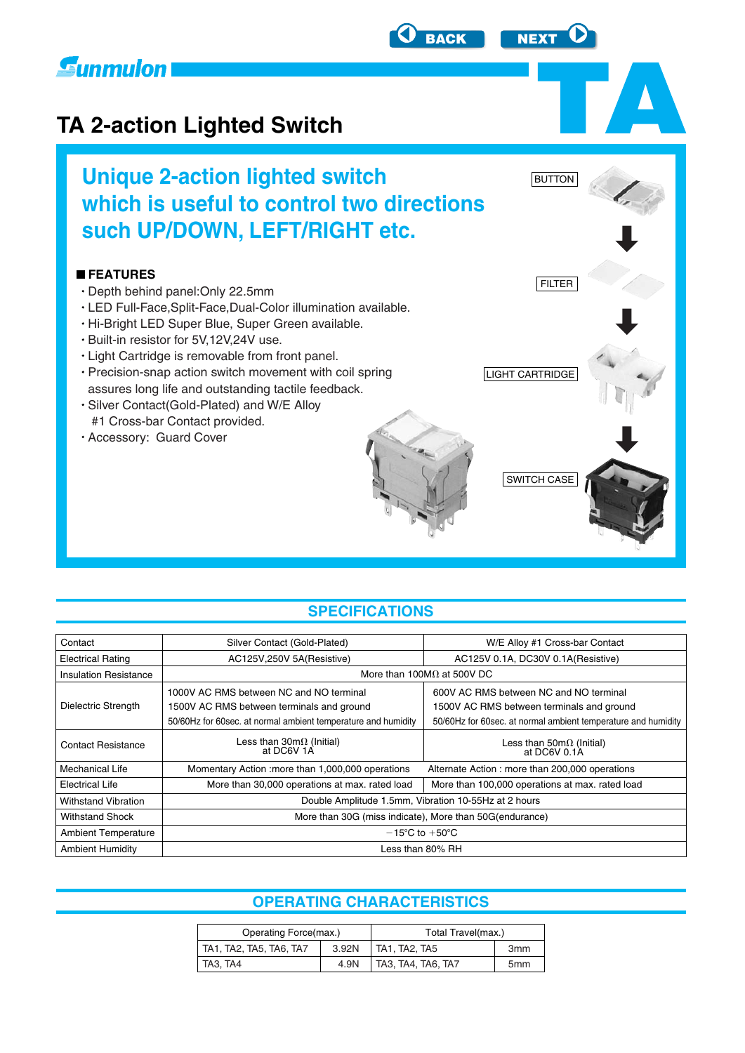<span id="page-0-0"></span>

# **TA 2-action Lighted Switch**

**Unique 2-action lighted switch which is useful to control two directions such UP/DOWN, LEFT/RIGHT etc.**

#### **FEATURES**

- Depth behind panel:Only 22.5mm
- LED Full-Face,Split-Face,Dual-Color illumination available.
- Hi-Bright LED Super Blue, Super Green available.
- Built-in resistor for 5V,12V,24V use.
- Light Cartridge is removable from front panel.
- Precision-snap action switch movement with coil spring assures long life and outstanding tactile feedback.
- Silver Contact(Gold-Plated) and W/E Alloy #1 Cross-bar Contact provided.
- Accessory: Guard Cover

### **SPECIFICATIONS**

| Silver Contact (Gold-Plated)                                  | W/E Alloy #1 Cross-bar Contact                                |  |  |  |  |  |
|---------------------------------------------------------------|---------------------------------------------------------------|--|--|--|--|--|
| AC125V, 250V 5A (Resistive)                                   | AC125V 0.1A, DC30V 0.1A(Resistive)                            |  |  |  |  |  |
|                                                               | More than 100M $\Omega$ at 500V DC                            |  |  |  |  |  |
| 1000V AC RMS between NC and NO terminal                       | 600V AC RMS between NC and NO terminal                        |  |  |  |  |  |
| 1500V AC RMS between terminals and ground                     | 1500V AC RMS between terminals and ground                     |  |  |  |  |  |
| 50/60Hz for 60sec. at normal ambient temperature and humidity | 50/60Hz for 60sec. at normal ambient temperature and humidity |  |  |  |  |  |
| Less than $30m\Omega$ (Initial)<br>at DC6V 1A                 | Less than $50m\Omega$ (Initial)<br>at DC6V 0.1A               |  |  |  |  |  |
| Momentary Action : more than 1,000,000 operations             | Alternate Action: more than 200,000 operations                |  |  |  |  |  |
| More than 30,000 operations at max. rated load                | More than 100,000 operations at max. rated load               |  |  |  |  |  |
| Double Amplitude 1.5mm, Vibration 10-55Hz at 2 hours          |                                                               |  |  |  |  |  |
| More than 30G (miss indicate), More than 50G (endurance)      |                                                               |  |  |  |  |  |
| $-15^{\circ}$ C to $+50^{\circ}$ C                            |                                                               |  |  |  |  |  |
| Less than 80% RH                                              |                                                               |  |  |  |  |  |
|                                                               |                                                               |  |  |  |  |  |

# **OPERATING CHARACTERISTICS**

| Operating Force(max.)            |      | Total Travel(max.)<br>3 <sub>mm</sub> |                 |  |
|----------------------------------|------|---------------------------------------|-----------------|--|
| TA1, TA2, TA5, TA6, TA7<br>3.92N |      | TA1, TA2, TA5                         |                 |  |
| TA3, TA4                         | 4.9N | TA3, TA4, TA6, TA7                    | 5 <sub>mm</sub> |  |



**BUTTON** 

SWITCH CASE

LIGHT CARTRIDGE

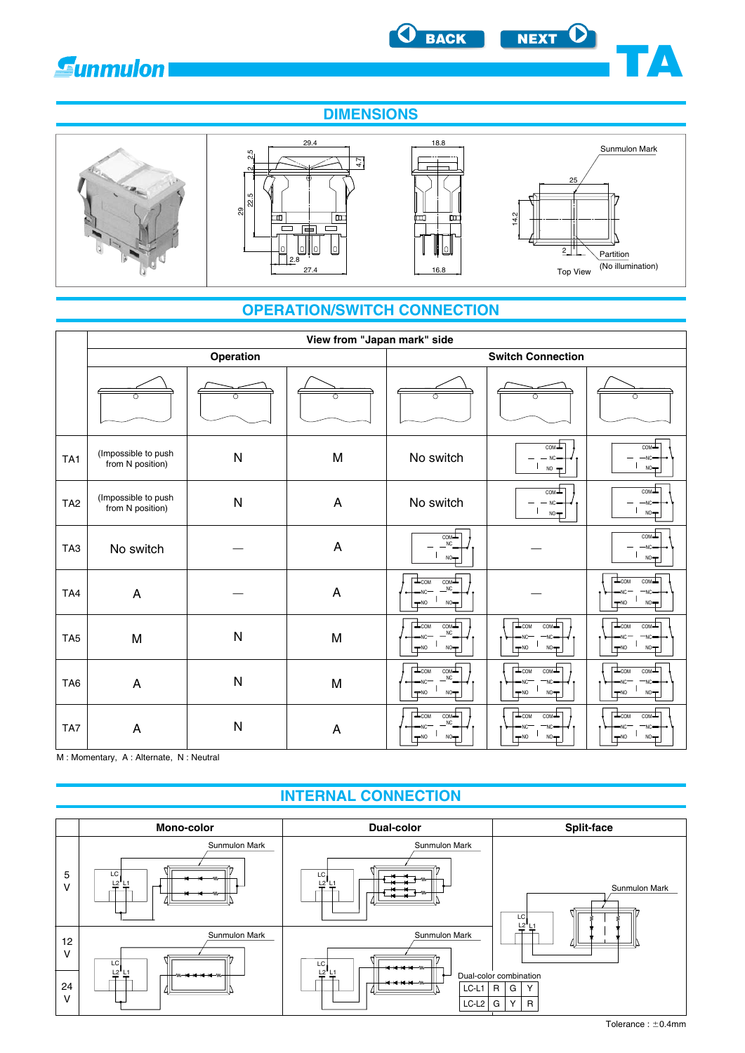<span id="page-1-0"></span>







D

**TA**

# **OPERATION/SWITCH CONNECTION**

|                 | View from "Japan mark" side             |              |                |                                                                               |                                                                                        |                                                                          |  |  |
|-----------------|-----------------------------------------|--------------|----------------|-------------------------------------------------------------------------------|----------------------------------------------------------------------------------------|--------------------------------------------------------------------------|--|--|
|                 |                                         | Operation    |                |                                                                               | <b>Switch Connection</b>                                                               |                                                                          |  |  |
|                 |                                         |              | ∩              | ∩                                                                             |                                                                                        | ∩                                                                        |  |  |
| TA <sub>1</sub> | (Impossible to push<br>from N position) | $\mathsf{N}$ | M              | No switch                                                                     | $com+$<br>$NC -$<br>$NO =$                                                             | com<br>$-NC-$<br>$NO -$                                                  |  |  |
| TA <sub>2</sub> | (Impossible to push<br>from N position) | $\mathsf{N}$ | $\overline{A}$ | No switch                                                                     | $com -$<br>$NC =$<br>$NO -$                                                            | $_{\text{COM}}$<br>$-NC-$<br>$NO -$                                      |  |  |
| TA <sub>3</sub> | No switch                               |              | $\overline{A}$ | COM<br><b>NC</b><br>NO                                                        |                                                                                        | COM-<br>$-NC-$<br>$NO -$                                                 |  |  |
| TA4             | A                                       |              | A              | $COM+$<br>$\frac{1}{2}$ COM<br><b>NC</b><br><b>NC</b><br>$-NO$<br>NO          |                                                                                        | $\mathbf{L}_{\text{COM}}$<br>$com+$<br>NC<br>NC.<br>NO<br>$-NO$          |  |  |
| TA <sub>5</sub> | M                                       | $\mathsf{N}$ | M              | COML<br>$\frac{1}{2}$ COM<br><b>NC</b><br>-NC<br>$-NO$<br>$NO+$               | $\Box$ <sub>COM</sub><br>$com-$<br>NC <sup>-</sup><br>NC.<br>$+$ NO<br>NO <sub>T</sub> | $\frac{1}{2}$ <sub>COM</sub><br>$COM -$<br><b>NC</b><br>$-NO$<br>$NO+$   |  |  |
| TA <sub>6</sub> | A                                       | ${\sf N}$    | M              | $\overline{\text{COM}}$<br>$T_{COM}$<br><b>NC</b><br>$-NC$<br>$\neg$ NO<br>NO | $\overline{\perp_{\tt COM}}$<br>comL<br>NC.<br>$-NO$<br>$NO -$                         | $\frac{1}{2}$ <sub>COM</sub><br>$COM-$<br>-NC<br>'NC<br>$-NO$<br>NO      |  |  |
| TA7             | A                                       | $\mathsf{N}$ | A              | COML<br>$\frac{1}{2}$ COM<br><b>NC</b><br>-NC<br>$-NO$<br>NO <sub>T</sub>     | $\Box$ <sub>COM</sub><br>COML<br>NC <sup>-</sup><br>$+NO$<br>NO                        | $\overline{\perp}_{\text{COM}}$<br>$COM-$<br>NC.<br>NC<br>$NO+$<br>$-NO$ |  |  |

M : Momentary, A : Alternate, N : Neutral

# **INTERNAL CONNECTION**

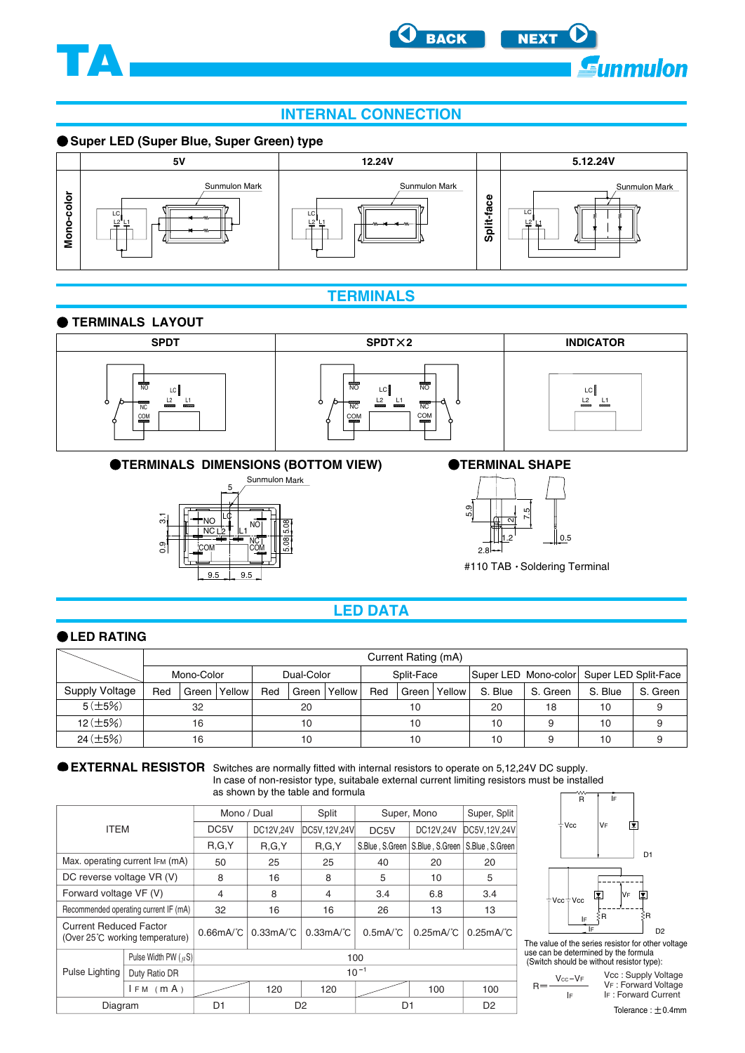<span id="page-2-0"></span>



## **INTERNAL CONNECTION**

#### **Super LED (Super Blue, Super Green) type**



#### **TERMINALS**

#### **TERMINALS LAYOUT**







**OTERMINALS DIMENSIONS (BOTTOM VIEW)** 



#### **OTERMINAL SHAPE**



#110 TAB · Soldering Terminal

#### **LED DATA**

#### **OLED RATING**

|                |            | Current Rating (mA) |                          |     |         |                                           |     |       |        |         |          |         |          |
|----------------|------------|---------------------|--------------------------|-----|---------|-------------------------------------------|-----|-------|--------|---------|----------|---------|----------|
|                | Mono-Color |                     | Dual-Color<br>Split-Face |     |         | Super LED Mono-color Super LED Split-Face |     |       |        |         |          |         |          |
| Supply Voltage | Red        | Green               | Yellow                   | Red | Green I | Yellow                                    | Red | Green | Yellow | S. Blue | S. Green | S. Blue | S. Green |
| 5(±5%)         | 32         |                     | 20                       |     | 10      |                                           | 20  | 18    | 10     |         |          |         |          |
| $12 (\pm 5\%)$ |            | 16                  |                          | 10  |         |                                           | 10  |       | 10     |         | 10       |         |          |
| $24 (\pm 5%)$  | 10<br>16   |                     |                          | 10  |         | 10                                        |     | 10    |        |         |          |         |          |

**EXTERNAL RESISTOR** Switches are normally fitted with internal resistors to operate on 5,12,24V DC supply. In case of non-resistor type, suitabale external current limiting resistors must be installed as s

|  |  |  |  |  | shown by the table and formula |
|--|--|--|--|--|--------------------------------|
|--|--|--|--|--|--------------------------------|

|                                                                  |                                       | Mono / Dual                |                               | Split                         | Super, Mono       |                 | Super, Split    |  |
|------------------------------------------------------------------|---------------------------------------|----------------------------|-------------------------------|-------------------------------|-------------------|-----------------|-----------------|--|
| <b>ITEM</b>                                                      |                                       | DC <sub>5</sub> V          | DC12V,24V                     | DC5V, 12V, 24V                | DC <sub>5</sub> V | DC12V.24V       | DC5V,12V,24V    |  |
|                                                                  |                                       | R, G, Y                    | R, G, Y                       | R.G.Y                         | S.Blue, S.Green   | S.Blue, S.Green | S.Blue, S.Green |  |
|                                                                  | Max. operating current IFM (mA)       | 50                         | 25                            | 25                            | 40                | 20              | 20              |  |
| DC reverse voltage VR (V)                                        |                                       | 8                          | 16                            | 8                             | 5                 | 10              | 5               |  |
| Forward voltage VF (V)                                           |                                       | 4                          | 8                             | $\overline{4}$                | 3.4               | 6.8             | 3.4             |  |
|                                                                  | Recommended operating current IF (mA) | 32                         | 16                            | 16                            | 26                | 13              | 13              |  |
| <b>Current Reduced Factor</b><br>(Over 25°C working temperature) |                                       | $0.66$ mA $\degree$ C      | $0.33 \text{mA}$ <sup>C</sup> | $0.33 \text{mA}$ <sup>C</sup> | 0.5mA/C           | 0.25mA/C        | 0.25mA/C        |  |
|                                                                  | Pulse Width PW $(\mu S)$              | 100                        |                               |                               |                   |                 |                 |  |
| Pulse Lighting<br>Duty Ratio DR                                  |                                       |                            | $10^{-1}$                     |                               |                   |                 |                 |  |
|                                                                  | $IFM$ ( $mA$ )                        |                            | 120                           | 120                           |                   | 100             | 100             |  |
| Diagram                                                          |                                       | D1<br>D <sub>2</sub><br>D1 |                               |                               |                   | D <sub>2</sub>  |                 |  |



The value of the series resistor for other voltage use can be determined by the formula (Switch should be without resistor type):

 $R =$ 

IF Vcc : Supply Voltage VF : Forward Voltage IF : Forward Current

Tolerance :  $\pm$  0.4mm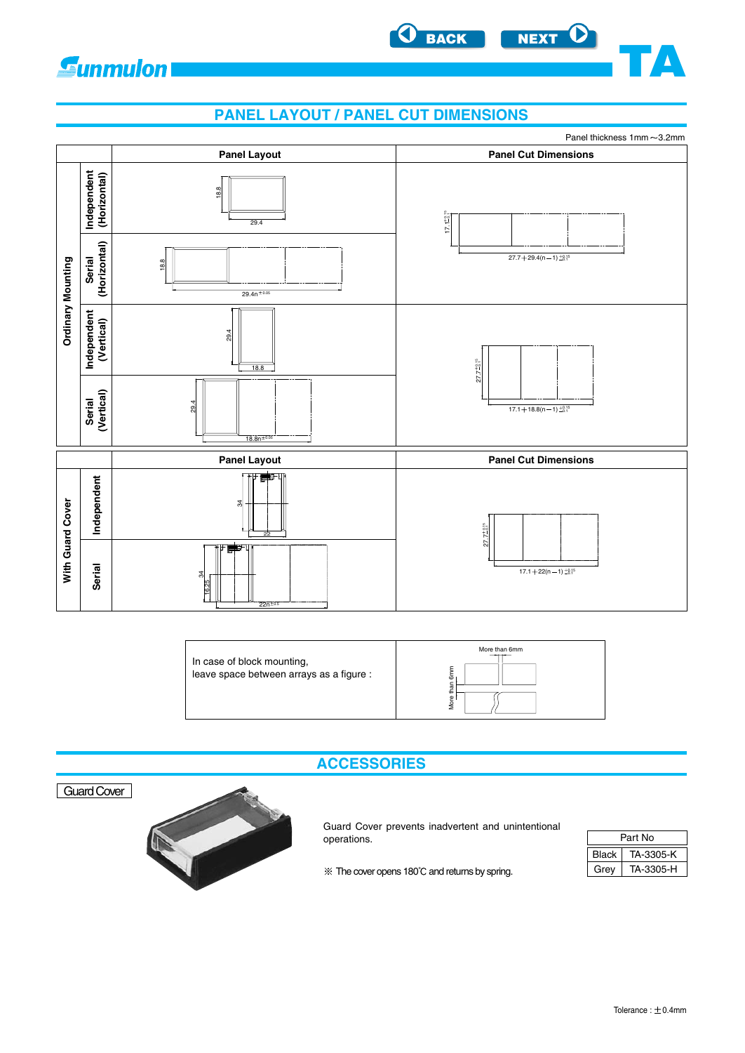<span id="page-3-0"></span>

# **PANEL LAYOUT / PANEL CUT DIMENSIONS**

**[BACK](#page-2-0) [NEXT](#page-4-0)**

**TA**



| In case of block mounting,<br>leave space between arrays as a figure : | More than 6mm<br>6m<br><b>gro</b> |
|------------------------------------------------------------------------|-----------------------------------|
|------------------------------------------------------------------------|-----------------------------------|





Guard Cover prevents inadvertent and unintentional operations.

| Part No      |           |  |  |  |  |
|--------------|-----------|--|--|--|--|
| <b>Black</b> | TA-3305-K |  |  |  |  |
| Grev         | TA-3305-H |  |  |  |  |

 $*$  The cover opens 180 $°C$  and returns by spring.